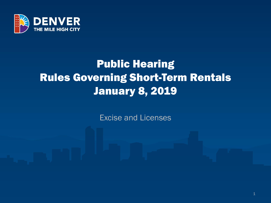

# Public Hearing Rules Governing Short-Term Rentals January 8, 2019

Excise and Licenses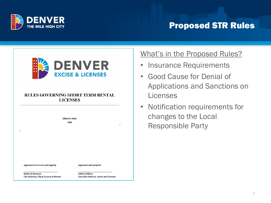

### Proposed STR Rules



#### **RULES GOVERNING SHORT TERM RENTAL LICENSES**



#### What's in the Proposed Rules?

- Insurance Requirements
- Good Cause for Denial of Applications and Sanctions on Licenses
- Notification requirements for changes to the Local Responsible Party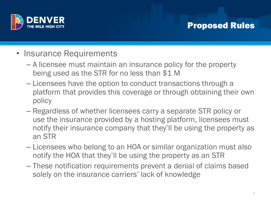

### Proposed Rules

- Insurance Requirements
	- A licensee must maintain an insurance policy for the property being used as the STR for no less than \$1 M
	- Licensees have the option to conduct transactions through a platform that provides this coverage or through obtaining their own policy
	- Regardless of whether licensees carry a separate STR policy or use the insurance provided by a hosting platform, licensees must notify their insurance company that they'll be using the property as an STR
	- Licensees who belong to an HOA or similar organization must also notify the HOA that they'll be using the property as an STR
	- These notification requirements prevent a denial of claims based solely on the insurance carriers' lack of knowledge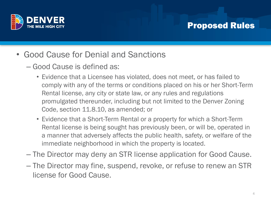

#### Proposed Rules

- Good Cause for Denial and Sanctions
	- Good Cause is defined as:
		- Evidence that a Licensee has violated, does not meet, or has failed to comply with any of the terms or conditions placed on his or her Short-Term Rental license, any city or state law, or any rules and regulations promulgated thereunder, including but not limited to the Denver Zoning Code, section 11.8.10, as amended; or
		- Evidence that a Short-Term Rental or a property for which a Short-Term Rental license is being sought has previously been, or will be, operated in a manner that adversely affects the public health, safety, or welfare of the immediate neighborhood in which the property is located.
	- The Director may deny an STR license application for Good Cause.
	- The Director may fine, suspend, revoke, or refuse to renew an STR license for Good Cause.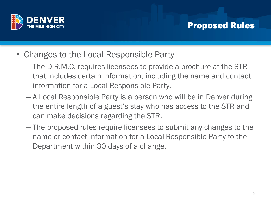

#### Proposed Rules

- Changes to the Local Responsible Party
	- The D.R.M.C. requires licensees to provide a brochure at the STR that includes certain information, including the name and contact information for a Local Responsible Party.
	- A Local Responsible Party is a person who will be in Denver during the entire length of a guest's stay who has access to the STR and can make decisions regarding the STR.
	- The proposed rules require licensees to submit any changes to the name or contact information for a Local Responsible Party to the Department within 30 days of a change.